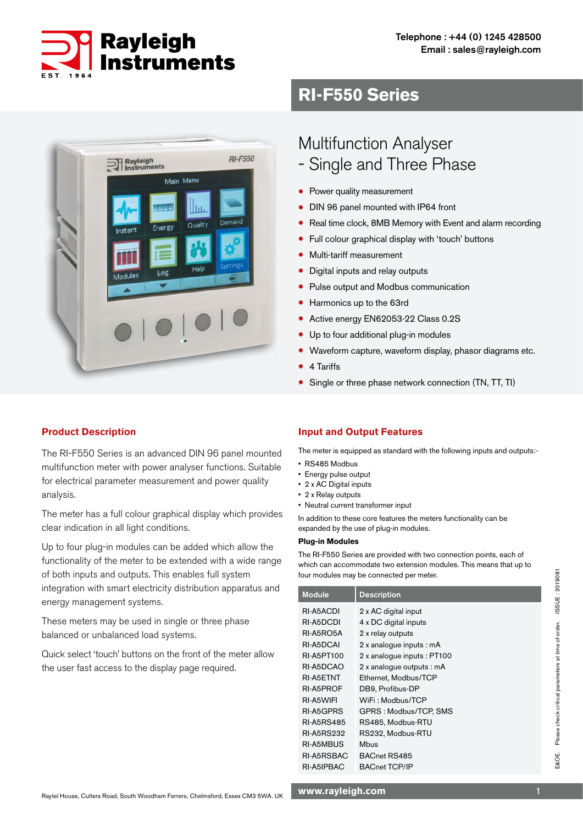

# **RI-F550 Series**



# **Product Description**

The RI-F550 Series is an advanced DIN 96 panel mounted multifunction meter with power analyser functions. Suitable for electrical parameter measurement and power quality analysis.

The meter has a full colour graphical display which provides clear indication in all light conditions.

Up to four plug-in modules can be added which allow the functionality of the meter to be extended with a wide range of both inputs and outputs. This enables full system integration with smart electricity distribution apparatus and energy management systems.

These meters may be used in single or three phase balanced or unbalanced load systems.

Quick select 'touch' buttons on the front of the meter allow the user fast access to the display page required.

# Multifunction Analyser

- Single and Three Phase
- Power quality measurement
- DIN 96 panel mounted with IP64 front
- Real time clock, 8MB Memory with Event and alarm recording
- Full colour graphical display with 'touch' buttons
- Multi-tariff measurement
- Digital inputs and relay outputs
- Pulse output and Modbus communication
- Harmonics up to the 63rd
- Active energy EN62053-22 Class 0.2S
- Up to four additional plug-in modules
- Waveform capture, waveform display, phasor diagrams etc.
- 4 Tariffs
- Single or three phase network connection (TN, TT, TI)

### **Input and Output Features**

The meter is equipped as standard with the following inputs and outputs:-

- RS485 Modbus
- Energy pulse output
- 2 x AC Digital inputs
- 2 x Relay outputs
- Neutral current transformer input

In addition to these core features the meters functionality can be expanded by the use of plug-in modules.

#### **Plug-in Modules**

The RI-F550 Series are provided with two connection points, each of which can accommodate two extension modules. This means that up to four modules may be connected per meter.

| <b>Module</b>     | <b>Description</b>         |
|-------------------|----------------------------|
| RI-A5ACDI         | 2 x AC digital input       |
| RI-A5DCDI         | 4 x DC digital inputs      |
| RI-A5RO5A         | 2 x relay outputs          |
| RI-A5DCAI         | 2 x analogue inputs : mA   |
| RI-A5PT100        | 2 x analogue inputs: PT100 |
| RI-A5DCAO         | 2 x analoque outputs : mA  |
| RI-A5ETNT         | Ethernet, Modbus/TCP       |
| RI-A5PROF         | DB9, Profibus-DP           |
| RI-A5WIFI         | WiFi: Modbus/TCP           |
| RI-A5GPRS         | GPRS: Modbus/TCP, SMS      |
| <b>RI-A5RS485</b> | RS485, Modbus-RTU          |
| <b>RI-A5RS232</b> | RS232, Modbus-RTU          |
| RI-A5MBUS         | Mbus                       |
| RI-A5RSBAC        | BACnet RS485               |
| RI-A5IPBAC        | <b>BACnet TCP/IP</b>       |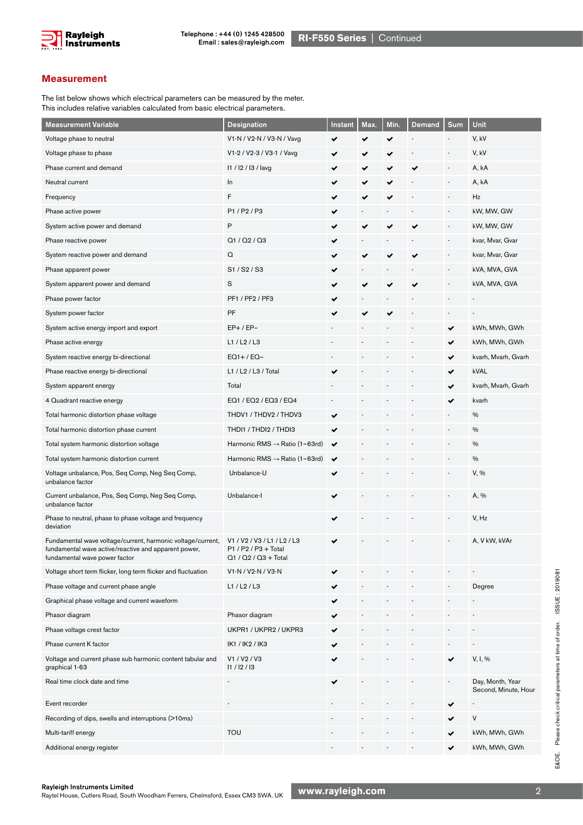

#### **Measurement**

The list below shows which electrical parameters can be measured by the meter. This includes relative variables calculated from basic electrical parameters.

| <b>Measurement Variable</b>                                                                                                                          | <b>Designation</b>                                                            | Instant      | Max. | Min. | <b>Demand</b> | Sum                         | Unit                                     |
|------------------------------------------------------------------------------------------------------------------------------------------------------|-------------------------------------------------------------------------------|--------------|------|------|---------------|-----------------------------|------------------------------------------|
| Voltage phase to neutral                                                                                                                             | V1-N / V2-N / V3-N / Vavg                                                     | ✔            | ✔    | ✔    |               |                             | V, kV                                    |
| Voltage phase to phase                                                                                                                               | V1-2 / V2-3 / V3-1 / Vavg                                                     | ✔            | ✔    | ✔    |               |                             | V, kV                                    |
| Phase current and demand                                                                                                                             | 11 / 12 / 13 / lavg                                                           | ✔            | ✔    | ✔    | ✔             |                             | A, kA                                    |
| Neutral current                                                                                                                                      | In                                                                            | ✔            | ✔    | ✔    |               |                             | A, kA                                    |
| Frequency                                                                                                                                            | F                                                                             | ✔            | ✔    | ✔    |               |                             | Hz                                       |
| Phase active power                                                                                                                                   | P1/P2/P3                                                                      |              |      |      |               |                             | kW, MW, GW                               |
| System active power and demand                                                                                                                       | Ρ                                                                             | ✔            | ✔    |      |               |                             | kW, MW, GW                               |
| Phase reactive power                                                                                                                                 | Q1 / Q2 / Q3                                                                  | ✔            |      |      |               | $\overline{\phantom{a}}$    | kvar, Mvar, Gvar                         |
| System reactive power and demand                                                                                                                     | Q                                                                             | ✔            | ✔    | ✔    |               |                             | kvar, Mvar, Gvar                         |
| Phase apparent power                                                                                                                                 | S1/S2/S3                                                                      | ✔            |      |      |               |                             | kVA, MVA, GVA                            |
| System apparent power and demand                                                                                                                     | S                                                                             | ✔            | ✔    |      |               |                             | kVA, MVA, GVA                            |
| Phase power factor                                                                                                                                   | PF1 / PF2 / PF3                                                               | ✔            |      |      |               |                             |                                          |
| System power factor                                                                                                                                  | PF                                                                            |              |      |      |               |                             |                                          |
| System active energy import and export                                                                                                               | $EP+$ / $EP-$                                                                 |              |      |      |               | ✔                           | kWh, MWh, GWh                            |
| Phase active energy                                                                                                                                  | L1 / L2 / L3                                                                  |              |      |      |               |                             | kWh, MWh, GWh                            |
| System reactive energy bi-directional                                                                                                                | $EQ1+$ / $EQ-$                                                                |              |      |      |               | ✔                           | kvarh, Mvarh, Gvarh                      |
| Phase reactive energy bi-directional                                                                                                                 | L1 / L2 / L3 / Total                                                          |              |      |      |               | ✔                           | kVAL                                     |
| System apparent energy                                                                                                                               | Total                                                                         |              |      |      |               | ✔                           | kvarh, Mvarh, Gvarh                      |
| 4 Quadrant reactive energy                                                                                                                           | EQ1 / EQ2 / EQ3 / EQ4                                                         |              |      |      |               | ✔                           | kvarh                                    |
| Total harmonic distortion phase voltage                                                                                                              | THDV1 / THDV2 / THDV3                                                         | ✔            |      |      |               |                             | $\%$                                     |
| Total harmonic distortion phase current                                                                                                              | THDI1 / THDI2 / THDI3                                                         | ✔            |      |      |               |                             | $\frac{0}{0}$                            |
| Total system harmonic distortion voltage                                                                                                             | Harmonic RMS → Ratio (1~63rd)                                                 | ✔            |      |      |               |                             | $\%$                                     |
| Total system harmonic distortion current                                                                                                             | Harmonic RMS → Ratio (1~63rd)                                                 | $\checkmark$ |      |      |               |                             | $\%$                                     |
| Voltage unbalance, Pos, Seq Comp, Neg Seq Comp,<br>unbalance factor                                                                                  | Unbalance-U                                                                   | ✔            |      |      |               |                             | V, %                                     |
| Current unbalance, Pos, Seq Comp, Neg Seq Comp,<br>unbalance factor                                                                                  | Unbalance-I                                                                   |              |      |      |               |                             | A, %                                     |
| Phase to neutral, phase to phase voltage and frequency<br>deviation                                                                                  |                                                                               | ✔            |      |      |               |                             | V, Hz                                    |
| Fundamental wave voltage/current, harmonic voltage/current,<br>fundamental wave active/reactive and apparent power,<br>fundamental wave power factor | V1 / V2 / V3 / L1 / L2 / L3<br>$P1 / P2 / P3 + Total$<br>Q1 / Q2 / Q3 + Total |              |      |      |               |                             | A, V kW, kVAr                            |
| Voltage short term flicker, long term flicker and fluctuation                                                                                        | V1-N / V2-N / V3-N                                                            |              |      |      |               |                             |                                          |
| Phase voltage and current phase angle                                                                                                                | L1 / L2 / L3                                                                  |              |      |      |               |                             | Degree                                   |
| Graphical phase voltage and current waveform                                                                                                         |                                                                               |              |      |      |               |                             |                                          |
| Phasor diagram                                                                                                                                       | Phasor diagram                                                                |              |      |      |               |                             |                                          |
| Phase voltage crest factor                                                                                                                           | UKPR1 / UKPR2 / UKPR3                                                         |              |      |      |               |                             |                                          |
| Phase current K factor                                                                                                                               | IK1 / IK2 / IK3                                                               | ✔            |      |      |               |                             |                                          |
| Voltage and current phase sub harmonic content tabular and<br>graphical 1-63                                                                         | V1 / V2 / V3<br>11 / 12 / 13                                                  |              |      |      |               | ✔                           | V, I, %                                  |
| Real time clock date and time                                                                                                                        |                                                                               | ✔            |      |      |               | $\mathcal{L}_{\mathcal{A}}$ | Day, Month, Year<br>Second, Minute, Hour |
| Event recorder                                                                                                                                       |                                                                               |              |      |      |               | ✔                           |                                          |
| Recording of dips, swells and interruptions (>10ms)                                                                                                  |                                                                               |              |      |      |               |                             | V                                        |
| Multi-tariff energy                                                                                                                                  | <b>TOU</b>                                                                    |              |      |      |               |                             | kWh, MWh, GWh                            |
| Additional energy register                                                                                                                           |                                                                               |              |      |      |               | ✔                           | kWh, MWh, GWh                            |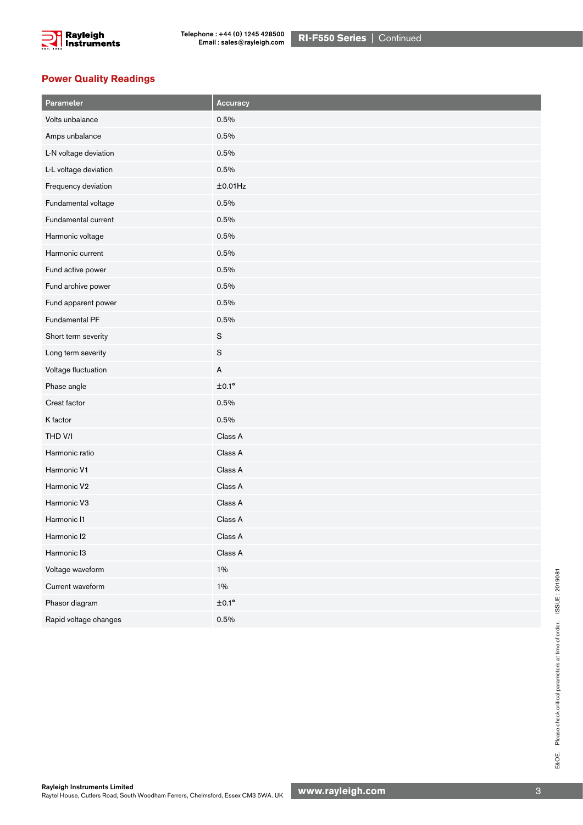

#### **Power Quality Readings**

| Parameter             | Accuracy                  |
|-----------------------|---------------------------|
| Volts unbalance       | 0.5%                      |
| Amps unbalance        | 0.5%                      |
| L-N voltage deviation | 0.5%                      |
| L-L voltage deviation | 0.5%                      |
| Frequency deviation   | ±0.01Hz                   |
| Fundamental voltage   | 0.5%                      |
| Fundamental current   | 0.5%                      |
| Harmonic voltage      | 0.5%                      |
| Harmonic current      | 0.5%                      |
| Fund active power     | 0.5%                      |
| Fund archive power    | 0.5%                      |
| Fund apparent power   | 0.5%                      |
| Fundamental PF        | 0.5%                      |
| Short term severity   | $\mathbf S$               |
| Long term severity    | $\mathbf S$               |
| Voltage fluctuation   | $\boldsymbol{\mathsf{A}}$ |
| Phase angle           | $±0.1^{\circ}$            |
| Crest factor          | 0.5%                      |
| K factor              | 0.5%                      |
| THD V/I               | Class A                   |
| Harmonic ratio        | Class A                   |
| Harmonic V1           | Class A                   |
| Harmonic V2           | Class A                   |
| Harmonic V3           | Class A                   |
| Harmonic I1           | Class A                   |
| Harmonic I2           | Class A                   |
| Harmonic I3           | Class A                   |
| Voltage waveform      | $1\%$                     |
| Current waveform      | $1\%$                     |
| Phasor diagram        | $\pm 0.1^{\circ}$         |
| Rapid voltage changes | 0.5%                      |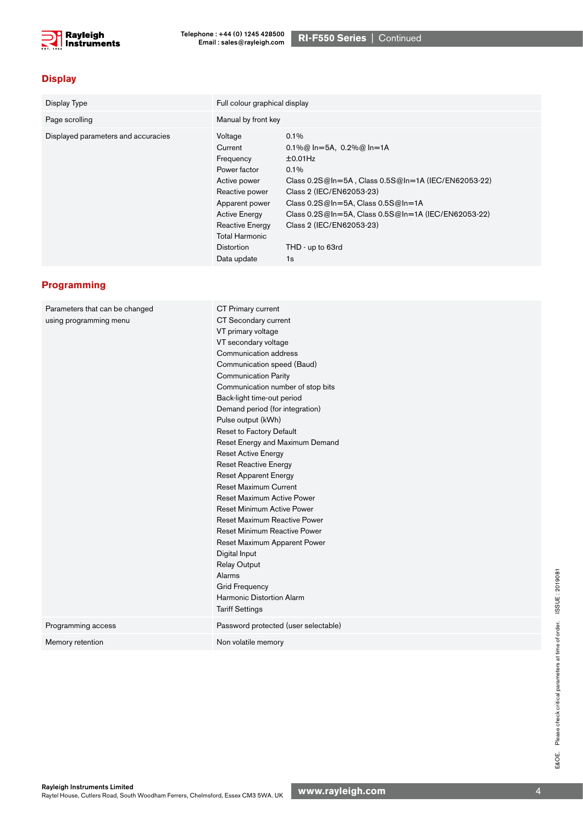

# **Display**

| Display Type                        | Full colour graphical display                                                                                                                                                                        |                                                                                                                                                                                                                                                                                                           |  |
|-------------------------------------|------------------------------------------------------------------------------------------------------------------------------------------------------------------------------------------------------|-----------------------------------------------------------------------------------------------------------------------------------------------------------------------------------------------------------------------------------------------------------------------------------------------------------|--|
| Page scrolling                      | Manual by front key                                                                                                                                                                                  |                                                                                                                                                                                                                                                                                                           |  |
| Displayed parameters and accuracies | Voltage<br>Current<br>Frequency<br>Power factor<br>Active power<br>Reactive power<br>Apparent power<br><b>Active Energy</b><br>Reactive Energy<br>Total Harmonic<br><b>Distortion</b><br>Data update | $0.1\%$<br>0.1%@ ln=5A, 0.2%@ ln=1A<br>±0.01Hz<br>$0.1\%$<br>Class 0.2S@In=5A, Class 0.5S@In=1A (IEC/EN62053-22)<br>Class 2 (IEC/EN62053-23)<br>Class $0.2S@ln=5A$ , Class $0.5S@ln=1A$<br>Class $0.2S@In=5A$ , Class $0.5S@In=1A$ (IEC/EN62053-22)<br>Class 2 (IEC/EN62053-23)<br>THD - up to 63rd<br>1s |  |

## **Programming**

| Parameters that can be changed | CT Primary current                   |  |  |
|--------------------------------|--------------------------------------|--|--|
| using programming menu         | CT Secondary current                 |  |  |
|                                | VT primary voltage                   |  |  |
|                                | VT secondary voltage                 |  |  |
|                                | Communication address                |  |  |
|                                | Communication speed (Baud)           |  |  |
|                                | <b>Communication Parity</b>          |  |  |
|                                | Communication number of stop bits    |  |  |
|                                | Back-light time-out period           |  |  |
|                                | Demand period (for integration)      |  |  |
|                                | Pulse output (kWh)                   |  |  |
|                                | Reset to Factory Default             |  |  |
|                                | Reset Energy and Maximum Demand      |  |  |
|                                | <b>Reset Active Energy</b>           |  |  |
|                                | Reset Reactive Energy                |  |  |
|                                | <b>Reset Apparent Energy</b>         |  |  |
|                                | <b>Reset Maximum Current</b>         |  |  |
|                                | <b>Reset Maximum Active Power</b>    |  |  |
|                                | <b>Reset Minimum Active Power</b>    |  |  |
|                                | <b>Reset Maximum Reactive Power</b>  |  |  |
|                                | <b>Reset Minimum Reactive Power</b>  |  |  |
|                                | Reset Maximum Apparent Power         |  |  |
|                                | Digital Input                        |  |  |
|                                | <b>Relay Output</b>                  |  |  |
|                                | Alarms                               |  |  |
|                                | <b>Grid Frequency</b>                |  |  |
|                                | Harmonic Distortion Alarm            |  |  |
|                                | <b>Tariff Settings</b>               |  |  |
| Programming access             | Password protected (user selectable) |  |  |
| Memory retention               | Non volatile memory                  |  |  |
|                                |                                      |  |  |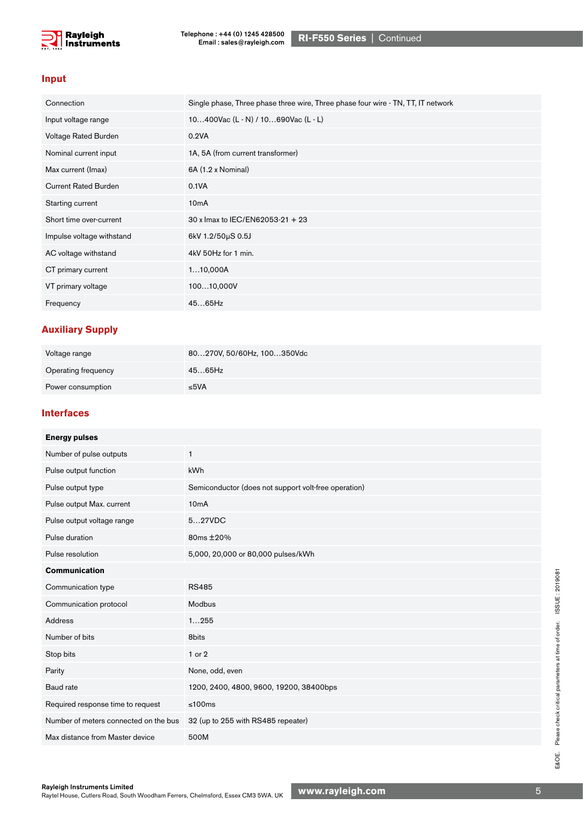

#### **Input**

| Connection                  | Single phase, Three phase three wire, Three phase four wire - TN, TT, IT network |
|-----------------------------|----------------------------------------------------------------------------------|
| Input voltage range         | 10400Vac (L - N) / 10690Vac (L - L)                                              |
| Voltage Rated Burden        | 0.2VA                                                                            |
| Nominal current input       | 1A, 5A (from current transformer)                                                |
| Max current (Imax)          | 6A (1.2 x Nominal)                                                               |
| <b>Current Rated Burden</b> | 0.1VA                                                                            |
| Starting current            | 10 <sub>m</sub> A                                                                |
| Short time over-current     | 30 x Imax to IEC/EN62053-21 + 23                                                 |
| Impulse voltage withstand   | 6kV 1.2/50µS 0.5J                                                                |
| AC voltage withstand        | 4kV 50Hz for 1 min.                                                              |
| CT primary current          | 110,000A                                                                         |
| VT primary voltage          | 10010,000V                                                                       |
| Frequency                   | 4565Hz                                                                           |

## **Auxiliary Supply**

| Voltage range       | 80270V, 50/60Hz, 100350Vdc |
|---------------------|----------------------------|
| Operating frequency | 4565Hz                     |
| Power consumption   | ≤5VA                       |

#### **Interfaces**

| <b>Energy pulses</b>                  |                                                      |
|---------------------------------------|------------------------------------------------------|
| Number of pulse outputs               | $\mathbf{1}$                                         |
| Pulse output function                 | kWh                                                  |
| Pulse output type                     | Semiconductor (does not support volt-free operation) |
| Pulse output Max. current             | 10 <sub>m</sub> A                                    |
| Pulse output voltage range            | 527VDC                                               |
| Pulse duration                        | 80ms ±20%                                            |
| Pulse resolution                      | 5,000, 20,000 or 80,000 pulses/kWh                   |
| <b>Communication</b>                  |                                                      |
| Communication type                    | <b>RS485</b>                                         |
| Communication protocol                | Modbus                                               |
| <b>Address</b>                        | 1255                                                 |
| Number of bits                        | 8bits                                                |
| Stop bits                             | 1 or 2                                               |
| Parity                                | None, odd, even                                      |
| Baud rate                             | 1200, 2400, 4800, 9600, 19200, 38400bps              |
| Required response time to request     | ≤100 $ms$                                            |
| Number of meters connected on the bus | 32 (up to 255 with RS485 repeater)                   |
| Max distance from Master device       | 500M                                                 |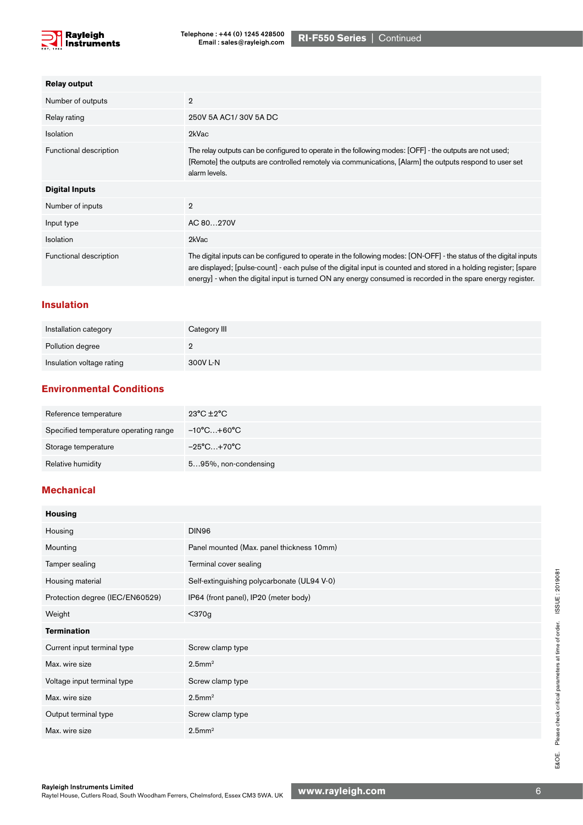

| <b>Relay output</b>    |                                                                                                                                                                                                                                                                                                                                                          |
|------------------------|----------------------------------------------------------------------------------------------------------------------------------------------------------------------------------------------------------------------------------------------------------------------------------------------------------------------------------------------------------|
| Number of outputs      | $\overline{2}$                                                                                                                                                                                                                                                                                                                                           |
| Relay rating           | 250V 5A AC1/30V 5A DC                                                                                                                                                                                                                                                                                                                                    |
| <b>Isolation</b>       | 2kVac                                                                                                                                                                                                                                                                                                                                                    |
| Functional description | The relay outputs can be configured to operate in the following modes: [OFF] - the outputs are not used;<br>[Remote] the outputs are controlled remotely via communications, [Alarm] the outputs respond to user set<br>alarm levels.                                                                                                                    |
| <b>Digital Inputs</b>  |                                                                                                                                                                                                                                                                                                                                                          |
| Number of inputs       | $\overline{2}$                                                                                                                                                                                                                                                                                                                                           |
| Input type             | AC 80270V                                                                                                                                                                                                                                                                                                                                                |
| Isolation              | 2kVac                                                                                                                                                                                                                                                                                                                                                    |
| Functional description | The digital inputs can be configured to operate in the following modes: [ON-OFF] - the status of the digital inputs<br>are displayed; [pulse-count] - each pulse of the digital input is counted and stored in a holding register; [spare<br>energy] - when the digital input is turned ON any energy consumed is recorded in the spare energy register. |

#### **Insulation**

| Installation category     | Category III |
|---------------------------|--------------|
| Pollution degree          |              |
| Insulation voltage rating | 300V L-N     |

### **Environmental Conditions**

| Reference temperature                 | $23^{\circ}$ C $\pm 2^{\circ}$ C |
|---------------------------------------|----------------------------------|
| Specified temperature operating range | −10°C…+60°C                      |
| Storage temperature                   | $-25^{\circ}$ C+70°C             |
| Relative humidity                     | 595%, non-condensing             |

### **Mechanical**

| <b>Housing</b>                  |                                             |
|---------------------------------|---------------------------------------------|
| Housing                         | DIN96                                       |
| Mounting                        | Panel mounted (Max. panel thickness 10mm)   |
| Tamper sealing                  | Terminal cover sealing                      |
| Housing material                | Self-extinguishing polycarbonate (UL94 V-0) |
| Protection degree (IEC/EN60529) | IP64 (front panel), IP20 (meter body)       |
| Weight                          | $<$ 370g                                    |
| <b>Termination</b>              |                                             |
| Current input terminal type     | Screw clamp type                            |
| Max. wire size                  | $2.5$ mm <sup>2</sup>                       |
| Voltage input terminal type     | Screw clamp type                            |
| Max. wire size                  | $2.5$ mm <sup>2</sup>                       |
| Output terminal type            | Screw clamp type                            |
| Max. wire size                  | $2.5$ mm <sup>2</sup>                       |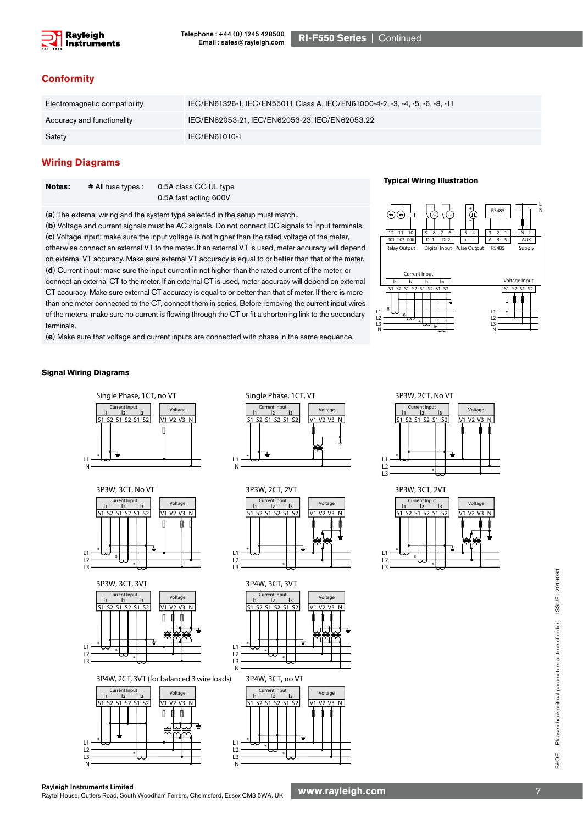

#### **Conformity**

| Electromagnetic compatibility | IEC/EN61326-1, IEC/EN55011 Class A, IEC/EN61000-4-2, -3, -4, -5, -6, -8, -11 |
|-------------------------------|------------------------------------------------------------------------------|
| Accuracy and functionality    | IEC/EN62053-21, IEC/EN62053-23, IEC/EN62053.22                               |
| Safety                        | IEC/EN61010-1                                                                |

#### **Wiring Diagrams**

| Notes: | $#$ All fuse types : | 0.5A class CC UL type |
|--------|----------------------|-----------------------|
|        |                      | 0.5A fast acting 600V |

(**a**) The external wiring and the system type selected in the setup must match..

(**b**) Voltage and current signals must be AC signals. Do not connect DC signals to input terminals. (**c**) Voltage input: make sure the input voltage is not higher than the rated voltage of the meter, otherwise connect an external VT to the meter. If an external VT is used, meter accuracy will depend on external VT accuracy. Make sure external VT accuracy is equal to or better than that of the meter. (**d**) Current input: make sure the input current in not higher than the rated current of the meter, or connect an external CT to the meter. If an external CT is used, meter accuracy will depend on external CT accuracy. Make sure external CT accuracy is equal to or better than that of meter. If there is more than one meter connected to the CT, connect them in series. Before removing the current input wires of the meters, make sure no current is flowing through the CT or fit a shortening link to the secondary terminals.

(**e**) Make sure that voltage and current inputs are connected with phase in the same sequence.

#### **Typical Wiring Illustration**



#### **Signal Wiring Diagrams**





3P3W, 3CT, 3VT 3P4W, 3CT, 3VT



3P4W, 2CT, 3VT (for balanced 3 wire loads) 3P4W, 3CT, no VT















Please check critical parameters at time of order. ISSUE: 2019081 E&OE. Please check critical parameters at time of order. ISSUE : 2019081 E&OE.

Rayleigh Instruments Limited<br>Raytel House, Cutlers Road, South Woodham Ferrers, Chelmsford, Essex CM3 5WA. UK WWW.**rayleigh.com** National Procession